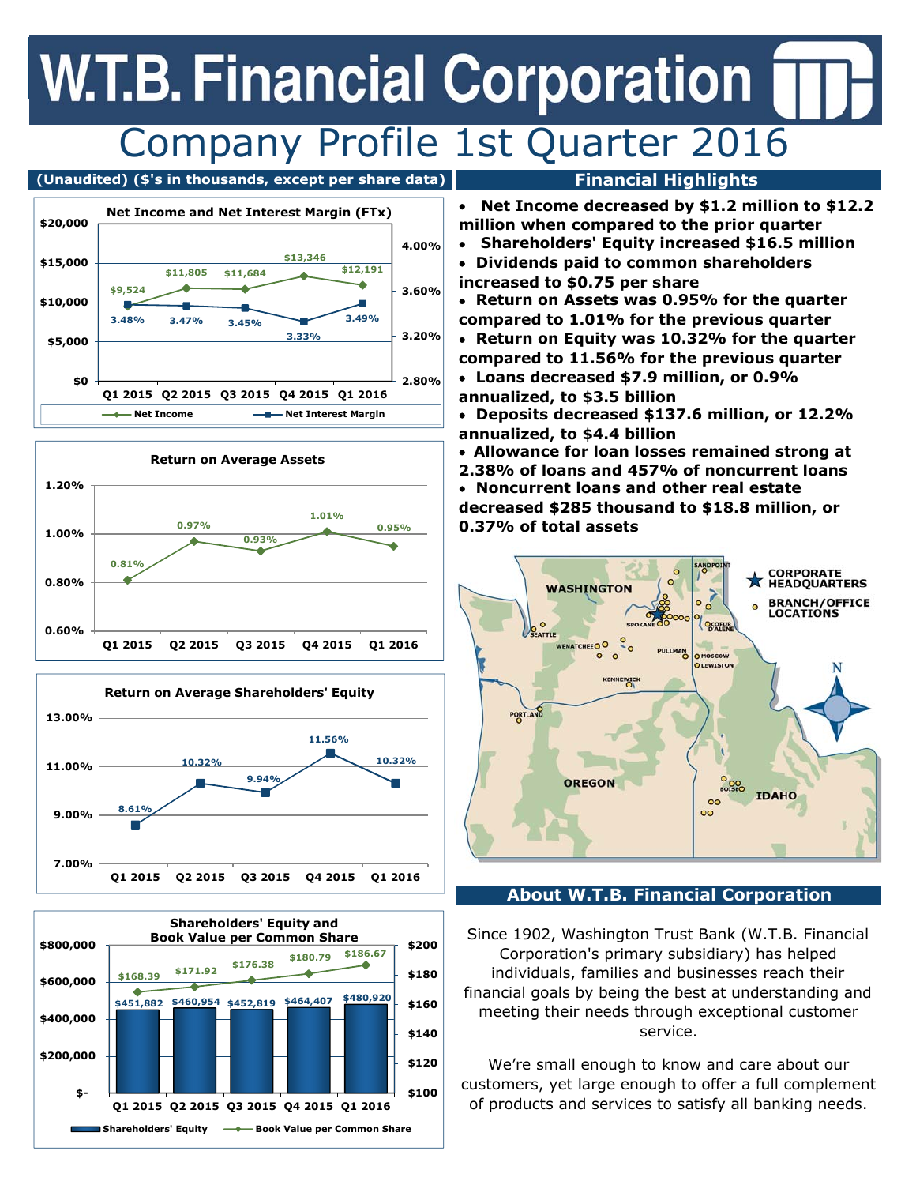## **W.T.B. Financial Corporation** Company Profile 1st Quarter 2016

### **(Unaudited) (\$'s in thousands, except per share data) Financial Highlights**









- **Net Income decreased by \$1.2 million to \$12.2 million when compared to the prior quarter**
- **Shareholders' Equity increased \$16.5 million**
- **Dividends paid to common shareholders increased to \$0.75 per share**
- **Return on Assets was 0.95% for the quarter compared to 1.01% for the previous quarter**
- **Return on Equity was 10.32% for the quarter compared to 11.56% for the previous quarter**
- **Loans decreased \$7.9 million, or 0.9% annualized, to \$3.5 billion**
- **Deposits decreased \$137.6 million, or 12.2% annualized, to \$4.4 billion**
- **Allowance for loan losses remained strong at**
- **2.38% of loans and 457% of noncurrent loans Noncurrent loans and other real estate decreased \$285 thousand to \$18.8 million, or 0.37% of total assets**



## **About W.T.B. Financial Corporation**

Since 1902, Washington Trust Bank (W.T.B. Financial Corporation's primary subsidiary) has helped individuals, families and businesses reach their financial goals by being the best at understanding and meeting their needs through exceptional customer service.

We're small enough to know and care about our customers, yet large enough to offer a full complement of products and services to satisfy all banking needs.